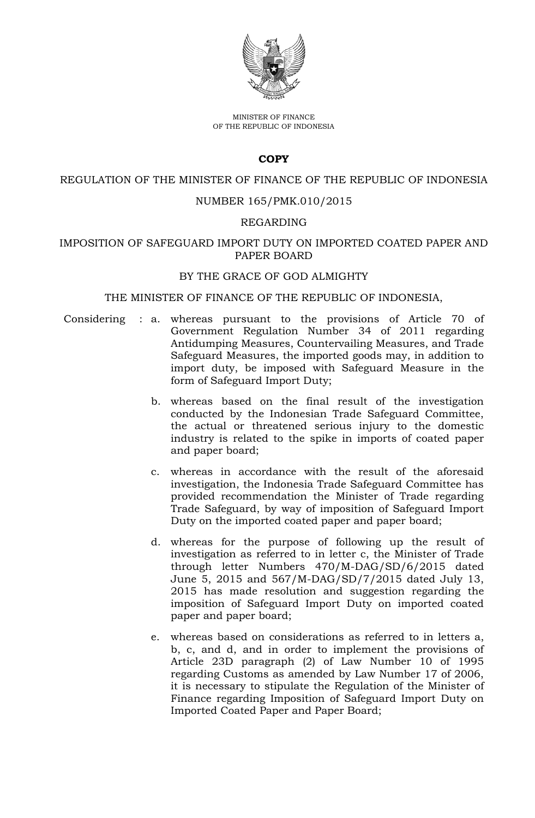

MINISTER OF FINANCE OF THE REPUBLIC OF INDONESIA

## **COPY**

#### REGULATION OF THE MINISTER OF FINANCE OF THE REPUBLIC OF INDONESIA

## NUMBER 165/PMK.010/2015

#### REGARDING

## IMPOSITION OF SAFEGUARD IMPORT DUTY ON IMPORTED COATED PAPER AND PAPER BOARD

#### BY THE GRACE OF GOD ALMIGHTY

#### THE MINISTER OF FINANCE OF THE REPUBLIC OF INDONESIA,

- Considering : a. whereas pursuant to the provisions of Article 70 of Government Regulation Number 34 of 2011 regarding Antidumping Measures, Countervailing Measures, and Trade Safeguard Measures, the imported goods may, in addition to import duty, be imposed with Safeguard Measure in the form of Safeguard Import Duty;
	- b. whereas based on the final result of the investigation conducted by the Indonesian Trade Safeguard Committee, the actual or threatened serious injury to the domestic industry is related to the spike in imports of coated paper and paper board;
	- c. whereas in accordance with the result of the aforesaid investigation, the Indonesia Trade Safeguard Committee has provided recommendation the Minister of Trade regarding Trade Safeguard, by way of imposition of Safeguard Import Duty on the imported coated paper and paper board;
	- d. whereas for the purpose of following up the result of investigation as referred to in letter c, the Minister of Trade through letter Numbers 470/M-DAG/SD/6/2015 dated June 5, 2015 and 567/M-DAG/SD/7/2015 dated July 13, 2015 has made resolution and suggestion regarding the imposition of Safeguard Import Duty on imported coated paper and paper board;
	- e. whereas based on considerations as referred to in letters a, b, c, and d, and in order to implement the provisions of Article 23D paragraph (2) of Law Number 10 of 1995 regarding Customs as amended by Law Number 17 of 2006, it is necessary to stipulate the Regulation of the Minister of Finance regarding Imposition of Safeguard Import Duty on Imported Coated Paper and Paper Board;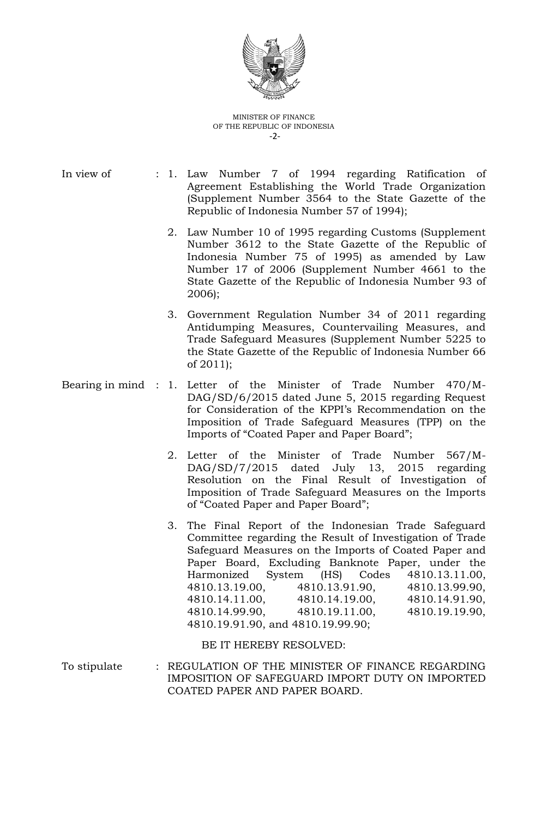

#### MINISTER OF FINANCE OF THE REPUBLIC OF INDONESIA -2-

- In view of : 1. Law Number 7 of 1994 regarding Ratification of Agreement Establishing the World Trade Organization (Supplement Number 3564 to the State Gazette of the Republic of Indonesia Number 57 of 1994);
	- 2. Law Number 10 of 1995 regarding Customs (Supplement Number 3612 to the State Gazette of the Republic of Indonesia Number 75 of 1995) as amended by Law Number 17 of 2006 (Supplement Number 4661 to the State Gazette of the Republic of Indonesia Number 93 of 2006);
	- 3. Government Regulation Number 34 of 2011 regarding Antidumping Measures, Countervailing Measures, and Trade Safeguard Measures (Supplement Number 5225 to the State Gazette of the Republic of Indonesia Number 66 of 2011);
- Bearing in mind : 1. Letter of the Minister of Trade Number 470/M-DAG/SD/6/2015 dated June 5, 2015 regarding Request for Consideration of the KPPI's Recommendation on the Imposition of Trade Safeguard Measures (TPP) on the Imports of "Coated Paper and Paper Board";
	- 2. Letter of the Minister of Trade Number 567/M-DAG/SD/7/2015 dated July 13, 2015 regarding Resolution on the Final Result of Investigation of Imposition of Trade Safeguard Measures on the Imports of "Coated Paper and Paper Board";
	- 3. The Final Report of the Indonesian Trade Safeguard Committee regarding the Result of Investigation of Trade Safeguard Measures on the Imports of Coated Paper and Paper Board, Excluding Banknote Paper, under the Harmonized System (HS) Codes 4810.13.11.00, 4810.13.19.00, 4810.13.91.90, 4810.13.99.90, 4810.14.11.00, 4810.14.19.00, 4810.14.91.90, 4810.14.99.90, 4810.19.11.00, 4810.19.19.90, 4810.19.91.90, and 4810.19.99.90;

BE IT HEREBY RESOLVED:

To stipulate : REGULATION OF THE MINISTER OF FINANCE REGARDING IMPOSITION OF SAFEGUARD IMPORT DUTY ON IMPORTED COATED PAPER AND PAPER BOARD.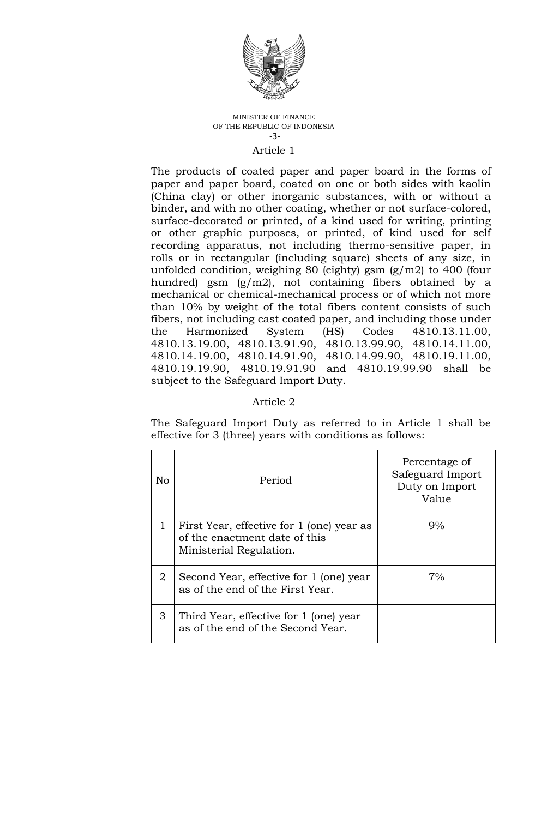

#### MINISTER OF FINANCE OF THE REPUBLIC OF INDONESIA -3-

#### Article 1

The products of coated paper and paper board in the forms of paper and paper board, coated on one or both sides with kaolin (China clay) or other inorganic substances, with or without a binder, and with no other coating, whether or not surface-colored, surface-decorated or printed, of a kind used for writing, printing or other graphic purposes, or printed, of kind used for self recording apparatus, not including thermo-sensitive paper, in rolls or in rectangular (including square) sheets of any size, in unfolded condition, weighing 80 (eighty) gsm (g/m2) to 400 (four hundred) gsm (g/m2), not containing fibers obtained by a mechanical or chemical-mechanical process or of which not more than 10% by weight of the total fibers content consists of such fibers, not including cast coated paper, and including those under the Harmonized System (HS) Codes 4810.13.11.00, 4810.13.19.00, 4810.13.91.90, 4810.13.99.90, 4810.14.11.00, 4810.14.19.00, 4810.14.91.90, 4810.14.99.90, 4810.19.11.00, 4810.19.19.90, 4810.19.91.90 and 4810.19.99.90 shall be subject to the Safeguard Import Duty.

## Article 2

The Safeguard Import Duty as referred to in Article 1 shall be effective for 3 (three) years with conditions as follows:

| No | Period                                                                                                | Percentage of<br>Safeguard Import<br>Duty on Import<br>Value |
|----|-------------------------------------------------------------------------------------------------------|--------------------------------------------------------------|
|    | First Year, effective for 1 (one) year as<br>of the enactment date of this<br>Ministerial Regulation. | 9%                                                           |
| 2  | Second Year, effective for 1 (one) year<br>as of the end of the First Year.                           | 7%                                                           |
| 3  | Third Year, effective for 1 (one) year<br>as of the end of the Second Year.                           |                                                              |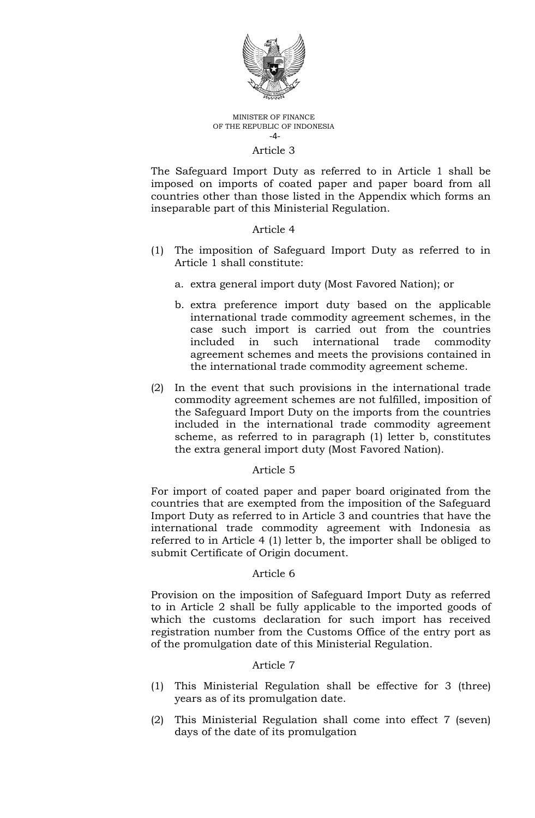

#### MINISTER OF FINANCE OF THE REPUBLIC OF INDONESIA -4-

## Article 3

The Safeguard Import Duty as referred to in Article 1 shall be imposed on imports of coated paper and paper board from all countries other than those listed in the Appendix which forms an inseparable part of this Ministerial Regulation.

#### Article 4

- (1) The imposition of Safeguard Import Duty as referred to in Article 1 shall constitute:
	- a. extra general import duty (Most Favored Nation); or
	- b. extra preference import duty based on the applicable international trade commodity agreement schemes, in the case such import is carried out from the countries included in such international trade commodity agreement schemes and meets the provisions contained in the international trade commodity agreement scheme.
- (2) In the event that such provisions in the international trade commodity agreement schemes are not fulfilled, imposition of the Safeguard Import Duty on the imports from the countries included in the international trade commodity agreement scheme, as referred to in paragraph (1) letter b, constitutes the extra general import duty (Most Favored Nation).

#### Article 5

For import of coated paper and paper board originated from the countries that are exempted from the imposition of the Safeguard Import Duty as referred to in Article 3 and countries that have the international trade commodity agreement with Indonesia as referred to in Article 4 (1) letter b, the importer shall be obliged to submit Certificate of Origin document.

#### Article 6

Provision on the imposition of Safeguard Import Duty as referred to in Article 2 shall be fully applicable to the imported goods of which the customs declaration for such import has received registration number from the Customs Office of the entry port as of the promulgation date of this Ministerial Regulation.

#### Article 7

- (1) This Ministerial Regulation shall be effective for 3 (three) years as of its promulgation date.
- (2) This Ministerial Regulation shall come into effect 7 (seven) days of the date of its promulgation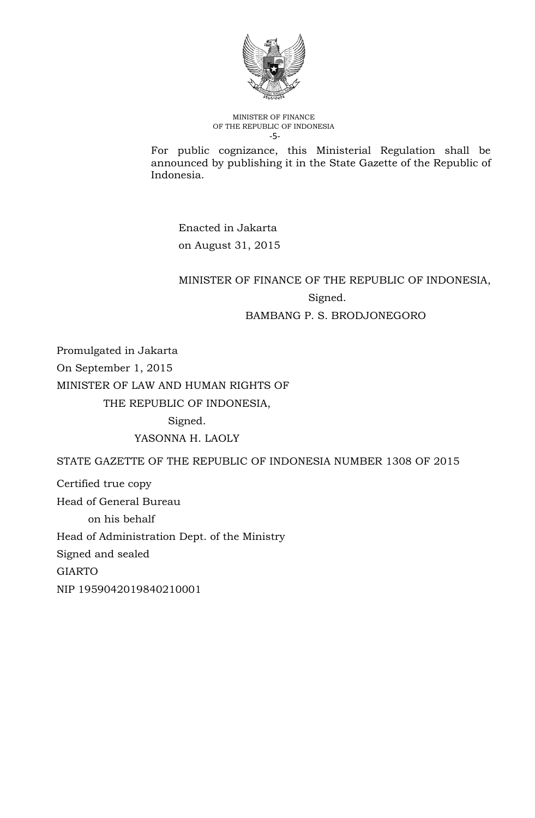

MINISTER OF FINANCE OF THE REPUBLIC OF INDONESIA -5-

For public cognizance, this Ministerial Regulation shall be announced by publishing it in the State Gazette of the Republic of Indonesia.

Enacted in Jakarta on August 31, 2015

# MINISTER OF FINANCE OF THE REPUBLIC OF INDONESIA, Signed.

## BAMBANG P. S. BRODJONEGORO

Promulgated in Jakarta On September 1, 2015 MINISTER OF LAW AND HUMAN RIGHTS OF THE REPUBLIC OF INDONESIA,

Signed.

YASONNA H. LAOLY

STATE GAZETTE OF THE REPUBLIC OF INDONESIA NUMBER 1308 OF 2015

Certified true copy Head of General Bureau on his behalf Head of Administration Dept. of the Ministry Signed and sealed GIARTO NIP 1959042019840210001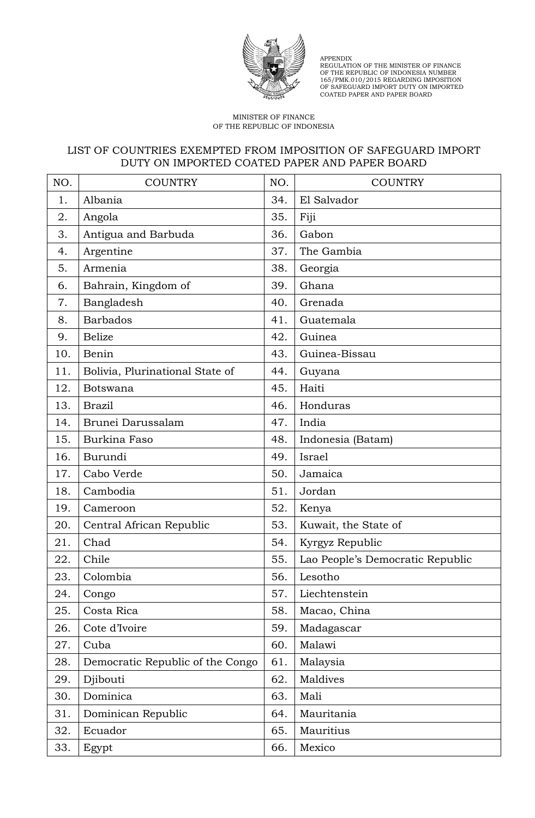

APPENDIX REGULATION OF THE MINISTER OF FINANCE OF THE REPUBLIC OF INDONESIA NUMBER 165/PMK.010/2015 REGARDING IMPOSITION OF SAFEGUARD IMPORT DUTY ON IMPORTED COATED PAPER AND PAPER BOARD

#### MINISTER OF FINANCE OF THE REPUBLIC OF INDONESIA

## LIST OF COUNTRIES EXEMPTED FROM IMPOSITION OF SAFEGUARD IMPORT DUTY ON IMPORTED COATED PAPER AND PAPER BOARD

| NO. | <b>COUNTRY</b>                   | NO. | <b>COUNTRY</b>                   |
|-----|----------------------------------|-----|----------------------------------|
| 1.  | Albania                          | 34. | El Salvador                      |
| 2.  | Angola                           | 35. | Fiji                             |
| 3.  | Antigua and Barbuda              | 36. | Gabon                            |
| 4.  | Argentine                        | 37. | The Gambia                       |
| 5.  | Armenia                          | 38. | Georgia                          |
| 6.  | Bahrain, Kingdom of              | 39. | Ghana                            |
| 7.  | Bangladesh                       | 40. | Grenada                          |
| 8.  | <b>Barbados</b>                  | 41. | Guatemala                        |
| 9.  | <b>Belize</b>                    | 42. | Guinea                           |
| 10. | Benin                            | 43. | Guinea-Bissau                    |
| 11. | Bolivia, Plurinational State of  | 44. | Guyana                           |
| 12. | <b>Botswana</b>                  | 45. | Haiti                            |
| 13. | <b>Brazil</b>                    | 46. | Honduras                         |
| 14. | Brunei Darussalam                | 47. | India                            |
| 15. | Burkina Faso                     | 48. | Indonesia (Batam)                |
| 16. | Burundi                          | 49. | Israel                           |
| 17. | Cabo Verde                       | 50. | Jamaica                          |
| 18. | Cambodia                         | 51. | Jordan                           |
| 19. | Cameroon                         | 52. | Kenya                            |
| 20. | Central African Republic         | 53. | Kuwait, the State of             |
| 21. | Chad                             | 54. | Kyrgyz Republic                  |
| 22. | Chile                            | 55. | Lao People's Democratic Republic |
| 23. | Colombia                         | 56. | Lesotho                          |
| 24. | Congo                            | 57. | Liechtenstein                    |
| 25. | Costa Rica                       | 58. | Macao, China                     |
| 26. | Cote d'Ivoire                    | 59. | Madagascar                       |
| 27. | Cuba                             | 60. | Malawi                           |
| 28. | Democratic Republic of the Congo | 61. | Malaysia                         |
| 29. | Djibouti                         | 62. | Maldives                         |
| 30. | Dominica                         | 63. | Mali                             |
| 31. | Dominican Republic               | 64. | Mauritania                       |
| 32. | Ecuador                          | 65. | Mauritius                        |
| 33. | Egypt                            | 66. | Mexico                           |